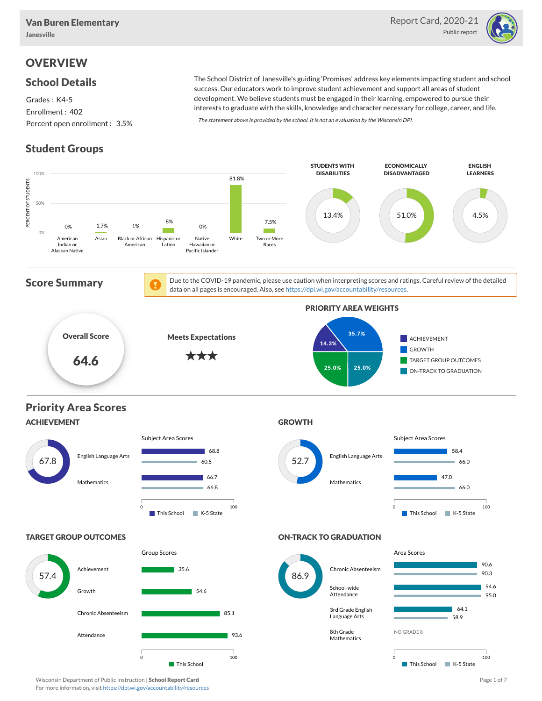

# **OVERVIEW**

### School Details

Grades : K4-5 Enrollment : 402 Percent open enrollment : 3.5%

The School District of Janesville's guiding 'Promises' address key elements impacting student and school success. Our educators work to improve student achievement and support all areas of student development. We believe students must be engaged in their learning, empowered to pursue their interests to graduate with the skills, knowledge and character necessary for college, career, and life.

The statement above is provided by the school. It is not an evaluation by the Wisconsin DPI.

## Student Groups



Wisconsin Department of Public Instruction | School Report Card Page 1 of 7 and 2008 and 2008 and Page 1 of 7 For more information, visit <https://dpi.wi.gov/accountability/resources>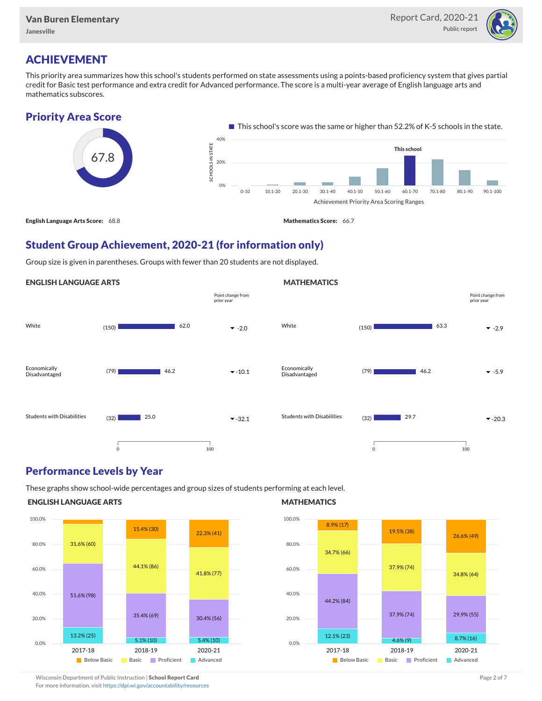

## ACHIEVEMENT

This priority area summarizes how this school's students performed on state assessments using a points-based proficiency system that gives partial credit for Basic test performance and extra credit for Advanced performance. The score is a multi-year average of English language arts and mathematics subscores.

### Priority Area Score



### Student Group Achievement, 2020-21 (for information only)

Group size is given in parentheses. Groups with fewer than 20 students are not displayed.

#### ENGLISH LANGUAGE ARTS



### Performance Levels by Year

These graphs show school-wide percentages and group sizes of students performing at each level.

#### ENGLISH LANGUAGE ARTS



#### **MATHEMATICS**

**MATHEMATICS** 



Wisconsin Department of Public Instruction | School Report Card Page 2 of 7 and 2008 and 2009 and 2 of 7 and 2 of 7 For more information, visit <https://dpi.wi.gov/accountability/resources>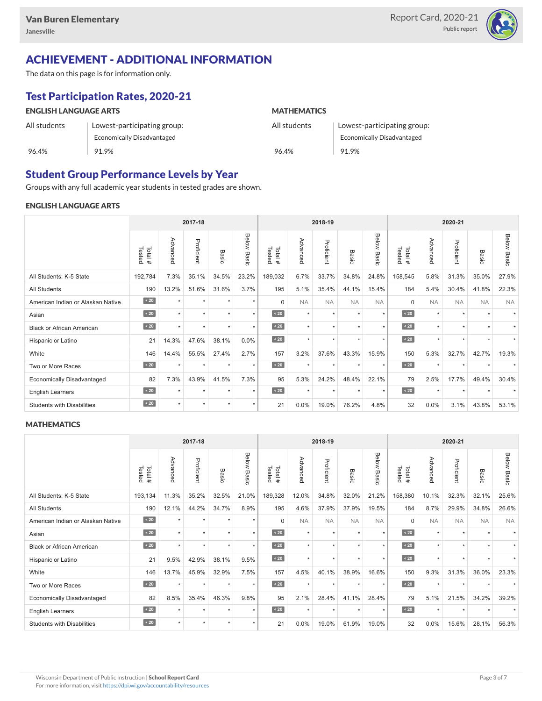

# ACHIEVEMENT - ADDITIONAL INFORMATION

The data on this page is for information only.

# Test Participation Rates, 2020-21

| <b>ENGLISH LANGUAGE ARTS</b> |                             | <b>MATHEMATICS</b> |                             |  |  |  |  |
|------------------------------|-----------------------------|--------------------|-----------------------------|--|--|--|--|
| All students                 | Lowest-participating group: | All students       | Lowest-participating group: |  |  |  |  |
|                              | Economically Disadvantaged  |                    | Economically Disadvantaged  |  |  |  |  |
| 96.4%                        | 91.9%                       | 96.4%              | 91.9%                       |  |  |  |  |

### Student Group Performance Levels by Year

Groups with any full academic year students in tested grades are shown.

#### ENGLISH LANGUAGE ARTS

|                                   | 2017-18          |           |            |         |                    |                  |           | 2018-19    |           |                | 2020-21          |           |            |                          |                    |
|-----------------------------------|------------------|-----------|------------|---------|--------------------|------------------|-----------|------------|-----------|----------------|------------------|-----------|------------|--------------------------|--------------------|
|                                   | Tested<br>Total# | Advanced  | Proficient | Basic   | <b>Below Basic</b> | Tested<br>Total# | Advanced  | Proficient | Basic     | Below<br>Basic | Tested<br>Total# | Advanced  | Proficient | Basic                    | <b>Below Basic</b> |
| All Students: K-5 State           | 192,784          | 7.3%      | 35.1%      | 34.5%   | 23.2%              | 189,032          | 6.7%      | 33.7%      | 34.8%     | 24.8%          | 158,545          | 5.8%      | 31.3%      | 35.0%                    | 27.9%              |
| All Students                      | 190              | 13.2%     | 51.6%      | 31.6%   | 3.7%               | 195              | 5.1%      | 35.4%      | 44.1%     | 15.4%          | 184              | 5.4%      | 30.4%      | 41.8%                    | 22.3%              |
| American Indian or Alaskan Native | $\angle 20$      | $\star$   | ٠          | ٠       | $\star$            | $\Omega$         | <b>NA</b> | <b>NA</b>  | <b>NA</b> | <b>NA</b>      | $\Omega$         | <b>NA</b> | <b>NA</b>  | <b>NA</b>                | <b>NA</b>          |
| Asian                             | $\sim 20$        | $\star$   | ٠          | ٠       | $\star$            | $\sim 20$        | $\star$   | $\star$    | $\star$   | $\star$        | $\sim 20$        | $\star$   | $\star$    | $\overline{\phantom{a}}$ |                    |
| <b>Black or African American</b>  | $\sim 20$        | $\star$   | $\star$    | $\star$ | $\star$            | $\sim 20$        | $\star$   | $\star$    |           | $\star$        | $\sim 20$        | $\star$   | $\star$    |                          |                    |
| Hispanic or Latino                | 21               | 14.3%     | 47.6%      | 38.1%   | 0.0%               | $\angle 20$      | $\star$   | $\star$    | $\ddot{}$ | $\star$        | $\angle 20$      | $\star$   | $\star$    | $\ddot{\phantom{1}}$     |                    |
| White                             | 146              | 14.4%     | 55.5%      | 27.4%   | 2.7%               | 157              | 3.2%      | 37.6%      | 43.3%     | 15.9%          | 150              | 5.3%      | 32.7%      | 42.7%                    | 19.3%              |
| Two or More Races                 | $\sim 20$        | $\ddot{}$ | $\star$    | $\star$ | $\star$            | $\sim 20$        | $\star$   | $\star$    | $\ddot{}$ | ٠              | $\sim 20$        | $\star$   | $\star$    |                          |                    |
| <b>Economically Disadvantaged</b> | 82               | 7.3%      | 43.9%      | 41.5%   | 7.3%               | 95               | 5.3%      | 24.2%      | 48.4%     | 22.1%          | 79               | 2.5%      | 17.7%      | 49.4%                    | 30.4%              |
| <b>English Learners</b>           | $\sim 20$        | $\star$   | $\star$    | $\star$ | $^\star$           | $\sim 20$        | $\star$   | $\star$    | $\star$   | $\star$        | $\sim 20$        | $\star$   | $\star$    | $\ddot{}$                |                    |
| <b>Students with Disabilities</b> | $\angle 20$      | $\star$   | $\star$    | $\star$ | $\star$            | 21               | 0.0%      | 19.0%      | 76.2%     | 4.8%           | 32               | 0.0%      | 3.1%       | 43.8%                    | 53.1%              |

#### **MATHEMATICS**

|                                   | 2017-18           |           |            |         |                |                  |           | 2018-19    |                      |                      |                  |           | 2020-21    |                          |                    |  |
|-----------------------------------|-------------------|-----------|------------|---------|----------------|------------------|-----------|------------|----------------------|----------------------|------------------|-----------|------------|--------------------------|--------------------|--|
|                                   | Tested<br>Total # | Advanced  | Proficient | Basic   | Below<br>Basic | Tested<br>Total# | Advanced  | Proficient | Basic                | Below<br>Basic       | Tested<br>Total# | Advanced  | Proficient | Basic                    | <b>Below Basic</b> |  |
| All Students: K-5 State           | 193,134           | 11.3%     | 35.2%      | 32.5%   | 21.0%          | 189,328          | 12.0%     | 34.8%      | 32.0%                | 21.2%                | 158,380          | 10.1%     | 32.3%      | 32.1%                    | 25.6%              |  |
| <b>All Students</b>               | 190               | 12.1%     | 44.2%      | 34.7%   | 8.9%           | 195              | 4.6%      | 37.9%      | 37.9%                | 19.5%                | 184              | 8.7%      | 29.9%      | 34.8%                    | 26.6%              |  |
| American Indian or Alaskan Native | $\sim 20$         | $\ddot{}$ | $\star$    | ٠       | $\star$        | $\Omega$         | <b>NA</b> | <b>NA</b>  | <b>NA</b>            | <b>NA</b>            | $\Omega$         | <b>NA</b> | <b>NA</b>  | <b>NA</b>                | <b>NA</b>          |  |
| Asian                             | $\sim 20$         | $\ddot{}$ | $\star$    | ٠       | $\star$        | $\angle 20$      | $\star$   | $\star$    | $\star$              | $\star$              | $\angle 20$      | $\star$   | $\star$    | $\overline{\phantom{a}}$ |                    |  |
| <b>Black or African American</b>  | $\sim 20$         | $\ddot{}$ | $\star$    | $\star$ | $\star$        | $\angle 20$      | $\star$   | $\star$    |                      | $\star$              | $\sim 20$        | $\star$   | ٠          |                          |                    |  |
| Hispanic or Latino                | 21                | 9.5%      | 42.9%      | 38.1%   | 9.5%           | $\angle 20$      | $\star$   | $\star$    | $\ddot{\phantom{1}}$ | $\ddot{\phantom{1}}$ | $\angle 20$      | $\star$   | $\star$    |                          |                    |  |
| White                             | 146               | 13.7%     | 45.9%      | 32.9%   | 7.5%           | 157              | 4.5%      | 40.1%      | 38.9%                | 16.6%                | 150              | 9.3%      | 31.3%      | 36.0%                    | 23.3%              |  |
| Two or More Races                 | $\sim 20$         | $\ddot{}$ | $\star$    | $\star$ | $\star$        | $\sim 20$        | $\star$   | $\star$    | $\ddot{}$            | $\star$              | $\sim 20$        | $\star$   | $\star$    |                          |                    |  |
| <b>Economically Disadvantaged</b> | 82                | 8.5%      | 35.4%      | 46.3%   | 9.8%           | 95               | 2.1%      | 28.4%      | 41.1%                | 28.4%                | 79               | 5.1%      | 21.5%      | 34.2%                    | 39.2%              |  |
| English Learners                  | $\sim 20$         | $\ddot{}$ | $\star$    | $\star$ | $\star$        | $\angle 20$      | $\star$   | $\star$    | $\star$              | $\star$              | $\angle 20$      | $\star$   | $\star$    |                          |                    |  |
| <b>Students with Disabilities</b> | $\sim 20$         | $\star$   | $\star$    | $\star$ | $\star$        | 21               | 0.0%      | 19.0%      | 61.9%                | 19.0%                | 32               | 0.0%      | 15.6%      | 28.1%                    | 56.3%              |  |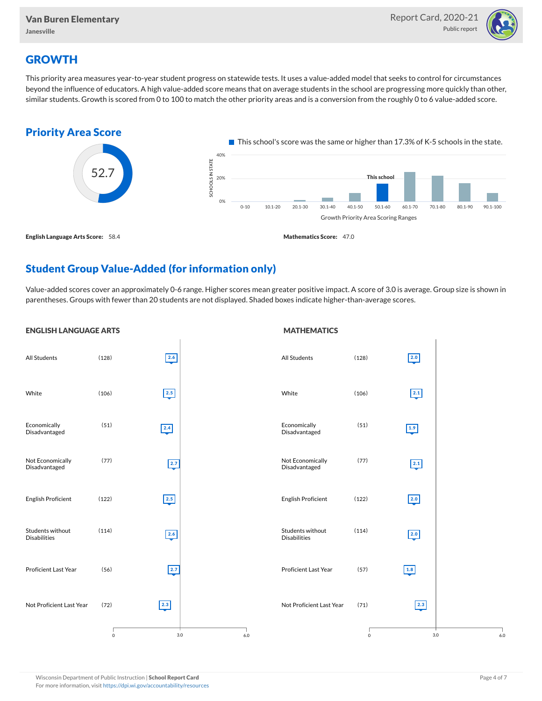

## **GROWTH**

This priority area measures year-to-year student progress on statewide tests. It uses a value-added model that seeks to control for circumstances beyond the influence of educators. A high value-added score means that on average students in the school are progressing more quickly than other, similar students. Growth is scored from 0 to 100 to match the other priority areas and is a conversion from the roughly 0 to 6 value-added score.



## Student Group Value-Added (for information only)

Value-added scores cover an approximately 0-6 range. Higher scores mean greater positive impact. A score of 3.0 is average. Group size is shown in parentheses. Groups with fewer than 20 students are not displayed. Shaded boxes indicate higher-than-average scores.

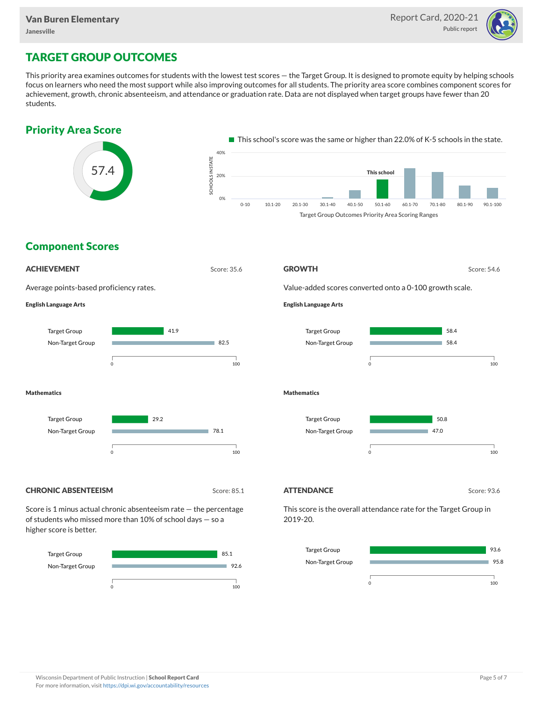

## TARGET GROUP OUTCOMES

This priority area examines outcomes for students with the lowest test scores — the Target Group. It is designed to promote equity by helping schools focus on learners who need the most support while also improving outcomes for all students. The priority area score combines component scores for achievement, growth, chronic absenteeism, and attendance or graduation rate. Data are not displayed when target groups have fewer than 20 students.



Non-Target Group



95.8

m.

0 100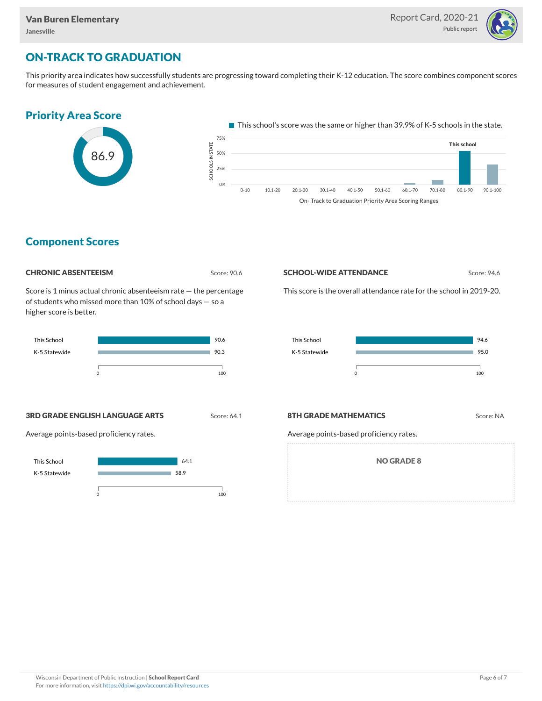

## ON-TRACK TO GRADUATION

This priority area indicates how successfully students are progressing toward completing their K-12 education. The score combines component scores for measures of student engagement and achievement.



On- Track to Graduation Priority Area Scoring Ranges

### Component Scores

| <b>CHRONIC ABSENTEEISM</b> |
|----------------------------|
|                            |

Score: 90.6

Score is 1 minus actual chronic absenteeism rate — the percentage of students who missed more than 10% of school days — so a higher score is better.



#### **SCHOOL-WIDE ATTENDANCE** Score: 94.6

This score is the overall attendance rate for the school in 2019-20.



**3RD GRADE ENGLISH LANGUAGE ARTS** Score: 64.1

Average points-based proficiency rates.

#### **8TH GRADE MATHEMATICS** Score: NA

Average points-based proficiency rates.

NO GRADE 8